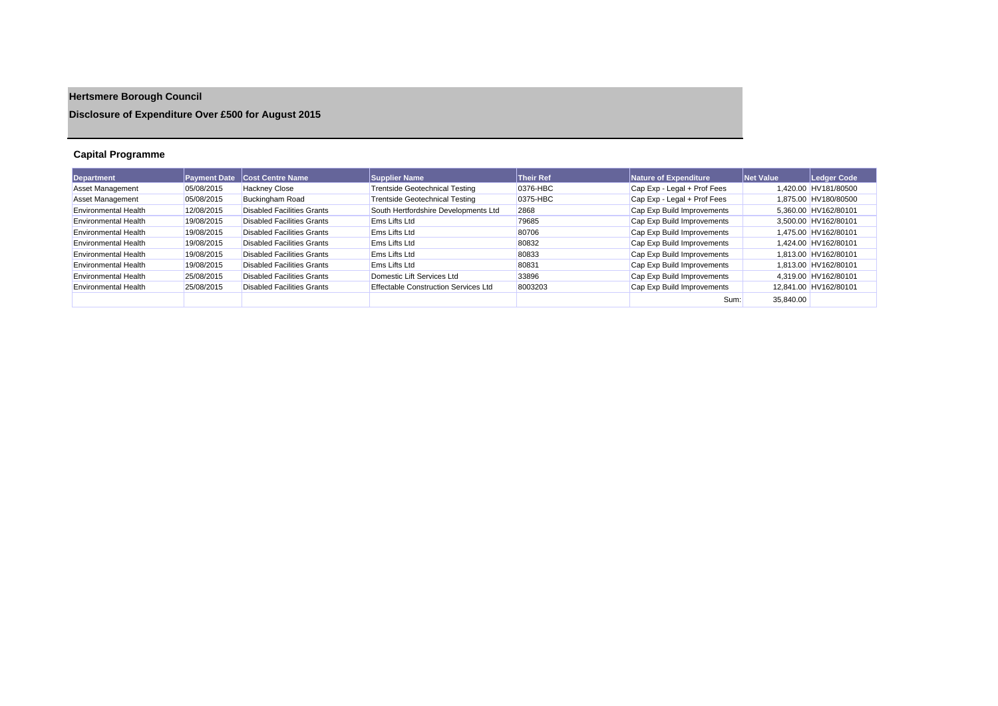# **Hertsmere Borough Council**

## **Disclosure of Expenditure Over £500 for August 2015**

## **Capital Programme**

| <b>Department</b>           | <b>Payment Date</b> | <b>Cost Centre Name</b>    | <b>Supplier Name</b>                        | <b>Their Ref</b> | Nature of Expenditure       | Net Value | Ledger Code           |
|-----------------------------|---------------------|----------------------------|---------------------------------------------|------------------|-----------------------------|-----------|-----------------------|
| Asset Management            | 05/08/2015          | <b>Hackney Close</b>       | <b>Trentside Geotechnical Testing</b>       | 0376-HBC         | Cap Exp - Legal + Prof Fees |           | 1.420.00 HV181/80500  |
| <b>Asset Management</b>     | 05/08/2015          | <b>Buckingham Road</b>     | <b>Trentside Geotechnical Testing</b>       | 0375-HBC         | Cap Exp - Legal + Prof Fees |           | 1.875.00 HV180/80500  |
| <b>Environmental Health</b> | 12/08/2015          | Disabled Facilities Grants | South Hertfordshire Developments Ltd        | 2868             | Cap Exp Build Improvements  |           | 5.360.00 HV162/80101  |
| Environmental Health        | 19/08/2015          | Disabled Facilities Grants | <b>Ems Lifts Ltd</b>                        | 79685            | Cap Exp Build Improvements  |           | 3.500.00 HV162/80101  |
| <b>Environmental Health</b> | 19/08/2015          | Disabled Facilities Grants | <b>Ems Lifts Ltd</b>                        | 80706            | Cap Exp Build Improvements  |           | 1.475.00 HV162/80101  |
| Environmental Health        | 19/08/2015          | Disabled Facilities Grants | <b>Ems Lifts Ltd</b>                        | 80832            | Cap Exp Build Improvements  |           | 1.424.00 HV162/80101  |
| <b>Environmental Health</b> | 19/08/2015          | Disabled Facilities Grants | <b>Ems Lifts Ltd</b>                        | 80833            | Cap Exp Build Improvements  |           | 1.813.00 HV162/80101  |
| <b>Environmental Health</b> | 19/08/2015          | Disabled Facilities Grants | <b>Ems Lifts Ltd</b>                        | 80831            | Cap Exp Build Improvements  |           | 1.813.00 HV162/80101  |
| <b>Environmental Health</b> | 25/08/2015          | Disabled Facilities Grants | Domestic Lift Services Ltd                  | 33896            | Cap Exp Build Improvements  |           | 4.319.00 HV162/80101  |
| <b>Environmental Health</b> | 25/08/2015          | Disabled Facilities Grants | <b>Effectable Construction Services Ltd</b> | 8003203          | Cap Exp Build Improvements  |           | 12.841.00 HV162/80101 |
|                             |                     |                            |                                             |                  | Sum:                        | 35.840.00 |                       |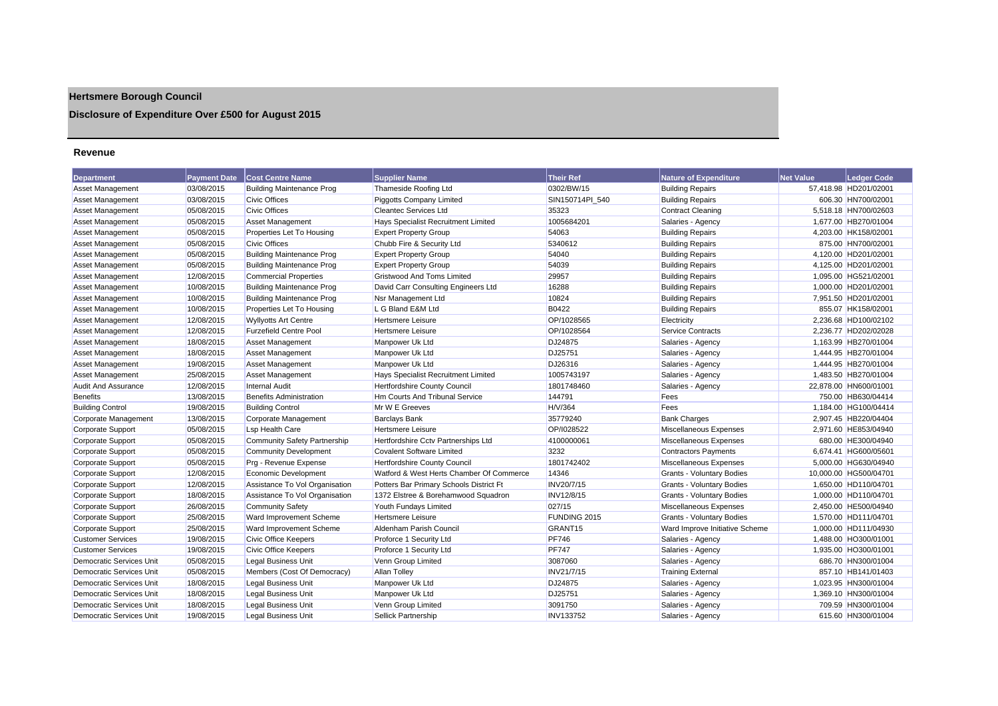## **Hertsmere Borough Council**

## **Disclosure of Expenditure Over £500 for August 2015**

#### **Revenue**

| <b>Department</b>               | <b>Payment Date</b> | <b>Cost Centre Name</b>          | <b>Supplier Name</b>                     | Their Ref           | Nature of Expenditure            | <b>Net Value</b> | <b>Ledger Code</b>    |
|---------------------------------|---------------------|----------------------------------|------------------------------------------|---------------------|----------------------------------|------------------|-----------------------|
| <b>Asset Management</b>         | 03/08/2015          | <b>Building Maintenance Prog</b> | Thameside Roofing Ltd                    | 0302/BW/15          | <b>Building Repairs</b>          |                  | 57,418.98 HD201/02001 |
| Asset Management                | 03/08/2015          | <b>Civic Offices</b>             | <b>Piggotts Company Limited</b>          | SIN150714PI 540     | <b>Building Repairs</b>          |                  | 606.30 HN700/02001    |
| Asset Management                | 05/08/2015          | <b>Civic Offices</b>             | <b>Cleantec Services Ltd</b>             | 35323               | <b>Contract Cleaning</b>         |                  | 5,518.18 HN700/02603  |
| <b>Asset Management</b>         | 05/08/2015          | <b>Asset Management</b>          | Hays Specialist Recruitment Limited      | 1005684201          | Salaries - Agency                |                  | 1,677.00 HB270/01004  |
| Asset Management                | 05/08/2015          | Properties Let To Housing        | <b>Expert Property Group</b>             | 54063               | <b>Building Repairs</b>          |                  | 4,203.00 HK158/02001  |
| Asset Management                | 05/08/2015          | <b>Civic Offices</b>             | Chubb Fire & Security Ltd                | 5340612             | <b>Building Repairs</b>          |                  | 875.00 HN700/02001    |
| <b>Asset Management</b>         | 05/08/2015          | <b>Building Maintenance Prog</b> | <b>Expert Property Group</b>             | 54040               | <b>Building Repairs</b>          |                  | 4,120.00 HD201/02001  |
| Asset Management                | 05/08/2015          | <b>Building Maintenance Prog</b> | <b>Expert Property Group</b>             | 54039               | <b>Building Repairs</b>          |                  | 4,125.00 HD201/02001  |
| Asset Management                | 12/08/2015          | <b>Commercial Properties</b>     | Gristwood And Toms Limited               | 29957               | <b>Building Repairs</b>          |                  | 1,095.00 HG521/02001  |
| Asset Management                | 10/08/2015          | <b>Building Maintenance Prog</b> | David Carr Consulting Engineers Ltd      | 16288               | <b>Building Repairs</b>          |                  | 1.000.00 HD201/02001  |
| <b>Asset Management</b>         | 10/08/2015          | <b>Building Maintenance Prog</b> | Nsr Management Ltd                       | 10824               | <b>Building Repairs</b>          |                  | 7,951.50 HD201/02001  |
| <b>Asset Management</b>         | 10/08/2015          | Properties Let To Housing        | L G Bland E&M Ltd                        | <b>B0422</b>        | <b>Building Repairs</b>          |                  | 855.07 HK158/02001    |
| <b>Asset Management</b>         | 12/08/2015          | <b>Wyllyotts Art Centre</b>      | Hertsmere Leisure                        | OP/1028565          | Electricity                      |                  | 2.236.68 HD100/02102  |
| <b>Asset Management</b>         | 12/08/2015          | <b>Furzefield Centre Pool</b>    | <b>Hertsmere Leisure</b>                 | OP/1028564          | <b>Service Contracts</b>         |                  | 2.236.77 HD202/02028  |
| <b>Asset Management</b>         | 18/08/2015          | <b>Asset Management</b>          | Manpower Uk Ltd                          | DJ24875             | Salaries - Agency                |                  | 1,163.99 HB270/01004  |
| Asset Management                | 18/08/2015          | <b>Asset Management</b>          | Manpower Uk Ltd                          | DJ25751             | Salaries - Agency                |                  | 1,444.95 HB270/01004  |
| Asset Management                | 19/08/2015          | <b>Asset Management</b>          | Manpower Uk Ltd                          | DJ26316             | Salaries - Agency                |                  | 1.444.95 HB270/01004  |
| <b>Asset Management</b>         | 25/08/2015          | <b>Asset Management</b>          | Hays Specialist Recruitment Limited      | 1005743197          | Salaries - Agency                |                  | 1,483.50 HB270/01004  |
| <b>Audit And Assurance</b>      | 12/08/2015          | <b>Internal Audit</b>            | Hertfordshire County Council             | 1801748460          | Salaries - Agency                |                  | 22,878.00 HN600/01001 |
| <b>Benefits</b>                 | 13/08/2015          | <b>Benefits Administration</b>   | <b>Hm Courts And Tribunal Service</b>    | 144791              | Fees                             |                  | 750.00 HB630/04414    |
| <b>Building Control</b>         | 19/08/2015          | <b>Building Control</b>          | Mr W E Greeves                           | H/V/364             | Fees                             |                  | 1,184.00 HG100/04414  |
| Corporate Management            | 13/08/2015          | Corporate Management             | <b>Barclays Bank</b>                     | 35779240            | <b>Bank Charges</b>              |                  | 2,907.45 HB220/04404  |
| Corporate Support               | 05/08/2015          | <b>Lsp Health Care</b>           | <b>Hertsmere Leisure</b>                 | OP/1028522          | Miscellaneous Expenses           |                  | 2,971.60 HE853/04940  |
| Corporate Support               | 05/08/2015          | Community Safety Partnership     | Hertfordshire Cctv Partnerships Ltd      | 4100000061          | <b>Miscellaneous Expenses</b>    |                  | 680.00 HE300/04940    |
| Corporate Support               | 05/08/2015          | <b>Community Development</b>     | <b>Covalent Software Limited</b>         | 3232                | <b>Contractors Payments</b>      |                  | 6.674.41 HG600/05601  |
| Corporate Support               | 05/08/2015          | Prg - Revenue Expense            | <b>Hertfordshire County Council</b>      | 1801742402          | Miscellaneous Expenses           |                  | 5,000.00 HG630/04940  |
| Corporate Support               | 12/08/2015          | Economic Development             | Watford & West Herts Chamber Of Commerce | 14346               | <b>Grants - Voluntary Bodies</b> |                  | 10,000.00 HG500/04701 |
| Corporate Support               | 12/08/2015          | Assistance To Vol Organisation   | Potters Bar Primary Schools District Ft  | INV20/7/15          | <b>Grants - Voluntary Bodies</b> |                  | 1.650.00 HD110/04701  |
| Corporate Support               | 18/08/2015          | Assistance To Vol Organisation   | 1372 Elstree & Borehamwood Squadron      | INV12/8/15          | <b>Grants - Voluntary Bodies</b> |                  | 1,000.00 HD110/04701  |
| Corporate Support               | 26/08/2015          | <b>Community Safety</b>          | Youth Fundays Limited                    | 027/15              | Miscellaneous Expenses           |                  | 2,450.00 HE500/04940  |
| Corporate Support               | 25/08/2015          | Ward Improvement Scheme          | Hertsmere Leisure                        | FUNDING 2015        | Grants - Voluntary Bodies        |                  | 1,570.00 HD111/04701  |
| Corporate Support               | 25/08/2015          | Ward Improvement Scheme          | Aldenham Parish Council                  | GRANT <sub>15</sub> | Ward Improve Initiative Scheme   |                  | 1.000.00 HD111/04930  |
| <b>Customer Services</b>        | 19/08/2015          | <b>Civic Office Keepers</b>      | Proforce 1 Security Ltd                  | <b>PF746</b>        | Salaries - Agency                |                  | 1,488.00 HO300/01001  |
| <b>Customer Services</b>        | 19/08/2015          | Civic Office Keepers             | Proforce 1 Security Ltd                  | <b>PF747</b>        | Salaries - Agency                |                  | 1,935.00 HO300/01001  |
| <b>Democratic Services Unit</b> | 05/08/2015          | <b>Legal Business Unit</b>       | Venn Group Limited                       | 3087060             | Salaries - Agency                |                  | 686.70 HN300/01004    |
| <b>Democratic Services Unit</b> | 05/08/2015          | Members (Cost Of Democracy)      | <b>Allan Tolley</b>                      | INV21/7/15          | <b>Training External</b>         |                  | 857.10 HB141/01403    |
| Democratic Services Unit        | 18/08/2015          | Legal Business Unit              | Manpower Uk Ltd                          | DJ24875             | Salaries - Agency                |                  | 1,023.95 HN300/01004  |
| Democratic Services Unit        | 18/08/2015          | <b>Legal Business Unit</b>       | Manpower Uk Ltd                          | DJ25751             | Salaries - Agency                |                  | 1,369.10 HN300/01004  |
| Democratic Services Unit        | 18/08/2015          | <b>Legal Business Unit</b>       | Venn Group Limited                       | 3091750             | Salaries - Agency                |                  | 709.59 HN300/01004    |
| <b>Democratic Services Unit</b> | 19/08/2015          | <b>Legal Business Unit</b>       | Sellick Partnership                      | <b>INV133752</b>    | Salaries - Agency                |                  | 615.60 HN300/01004    |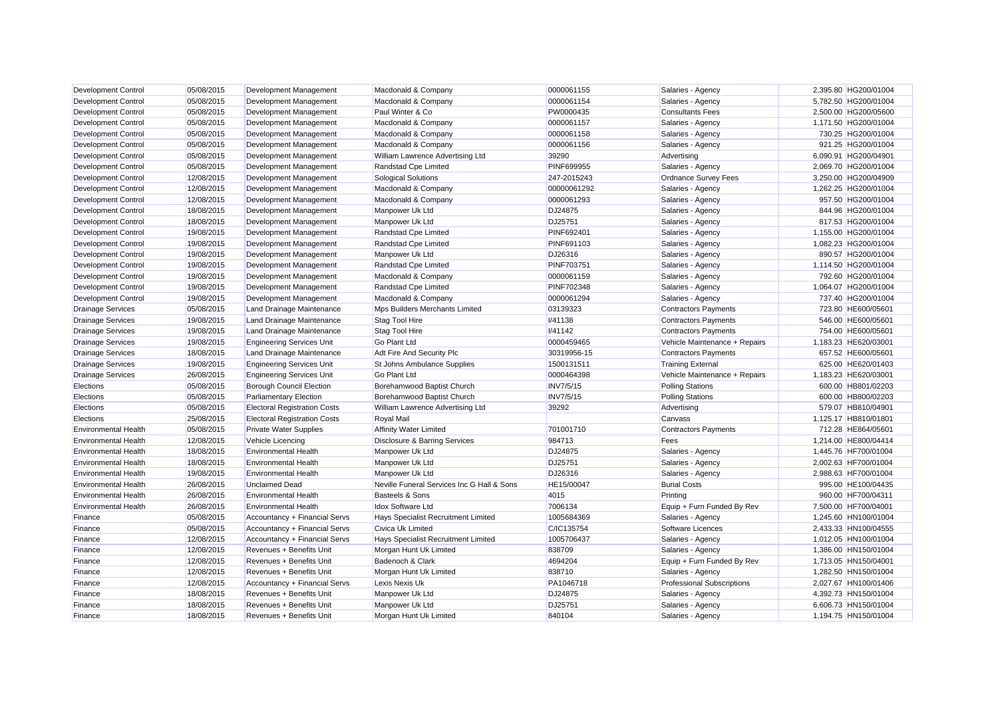| <b>Development Control</b>  | 05/08/2015 | Development Management              | Macdonald & Company                        | 0000061155        | Salaries - Agency                 | 2,395.80 HG200/01004 |
|-----------------------------|------------|-------------------------------------|--------------------------------------------|-------------------|-----------------------------------|----------------------|
| <b>Development Control</b>  | 05/08/2015 | Development Management              | Macdonald & Company                        | 0000061154        | Salaries - Agency                 | 5,782.50 HG200/01004 |
| <b>Development Control</b>  | 05/08/2015 | Development Management              | Paul Winter & Co                           | PW0000435         | <b>Consultants Fees</b>           | 2,500.00 HG200/05600 |
| Development Control         | 05/08/2015 | Development Management              | Macdonald & Company                        | 0000061157        | Salaries - Agency                 | 1,171.50 HG200/01004 |
| <b>Development Control</b>  | 05/08/2015 | Development Management              | Macdonald & Company                        | 0000061158        | Salaries - Agency                 | 730.25 HG200/01004   |
| <b>Development Control</b>  | 05/08/2015 | Development Management              | Macdonald & Company                        | 0000061156        | Salaries - Agency                 | 921.25 HG200/01004   |
| <b>Development Control</b>  | 05/08/2015 | Development Management              | William Lawrence Advertising Ltd           | 39290             | Advertising                       | 6,090.91 HG200/04901 |
| Development Control         | 05/08/2015 | Development Management              | Randstad Cpe Limited                       | <b>PINF699955</b> | Salaries - Agency                 | 2,069.70 HG200/01004 |
| <b>Development Control</b>  | 12/08/2015 | Development Management              | <b>Sological Solutions</b>                 | 247-2015243       | Ordnance Survey Fees              | 3,250.00 HG200/04909 |
| <b>Development Control</b>  | 12/08/2015 | Development Management              | Macdonald & Company                        | 00000061292       | Salaries - Agency                 | 1,262.25 HG200/01004 |
| <b>Development Control</b>  | 12/08/2015 | Development Management              | Macdonald & Company                        | 0000061293        | Salaries - Agency                 | 957.50 HG200/01004   |
| <b>Development Control</b>  | 18/08/2015 | Development Management              | Manpower Uk Ltd                            | DJ24875           | Salaries - Agency                 | 844.96 HG200/01004   |
| <b>Development Control</b>  | 18/08/2015 | Development Management              | Manpower Uk Ltd                            | DJ25751           | Salaries - Agency                 | 817.53 HG200/01004   |
| <b>Development Control</b>  | 19/08/2015 | Development Management              | Randstad Cpe Limited                       | PINF692401        | Salaries - Agency                 | 1,155.00 HG200/01004 |
| <b>Development Control</b>  | 19/08/2015 | Development Management              | Randstad Cpe Limited                       | PINF691103        | Salaries - Agency                 | 1,082.23 HG200/01004 |
| Development Control         | 19/08/2015 | Development Management              | Manpower Uk Ltd                            | DJ26316           | Salaries - Agency                 | 890.57 HG200/01004   |
| <b>Development Control</b>  | 19/08/2015 | Development Management              | Randstad Cpe Limited                       | <b>PINF703751</b> | Salaries - Agency                 | 1,114.50 HG200/01004 |
| <b>Development Control</b>  | 19/08/2015 | Development Management              | Macdonald & Company                        | 0000061159        | Salaries - Agency                 | 792.60 HG200/01004   |
| Development Control         | 19/08/2015 | Development Management              | Randstad Cpe Limited                       | <b>PINF702348</b> | Salaries - Agency                 | 1,064.07 HG200/01004 |
| <b>Development Control</b>  | 19/08/2015 | Development Management              | Macdonald & Company                        | 0000061294        | Salaries - Agency                 | 737.40 HG200/01004   |
| <b>Drainage Services</b>    | 05/08/2015 | Land Drainage Maintenance           | Mps Builders Merchants Limited             | 03139323          | <b>Contractors Payments</b>       | 723.80 HE600/05601   |
| <b>Drainage Services</b>    | 19/08/2015 | Land Drainage Maintenance           | Stag Tool Hire                             | <b>I/41138</b>    | <b>Contractors Payments</b>       | 546.00 HE600/05601   |
| <b>Drainage Services</b>    | 19/08/2015 | Land Drainage Maintenance           | Stag Tool Hire                             | <b>I/41142</b>    | <b>Contractors Payments</b>       | 754.00 HE600/05601   |
| <b>Drainage Services</b>    | 19/08/2015 | <b>Engineering Services Unit</b>    | Go Plant Ltd                               | 0000459465        | Vehicle Maintenance + Repairs     | 1,183.23 HE620/03001 |
| <b>Drainage Services</b>    | 18/08/2015 | Land Drainage Maintenance           | Adt Fire And Security Plc                  | 30319956-15       | Contractors Payments              | 657.52 HE600/05601   |
| <b>Drainage Services</b>    | 19/08/2015 | <b>Engineering Services Unit</b>    | St Johns Ambulance Supplies                | 1500131511        | <b>Training External</b>          | 625.00 HE620/01403   |
| <b>Drainage Services</b>    | 26/08/2015 | <b>Engineering Services Unit</b>    | Go Plant Ltd                               | 0000464398        | Vehicle Maintenance + Repairs     | 1,183.23 HE620/03001 |
| Elections                   | 05/08/2015 | <b>Borough Council Election</b>     | Borehamwood Baptist Church                 | <b>INV7/5/15</b>  | <b>Polling Stations</b>           | 600.00 HB801/02203   |
| Elections                   | 05/08/2015 | <b>Parliamentary Election</b>       | Borehamwood Baptist Church                 | <b>INV7/5/15</b>  | <b>Polling Stations</b>           | 600.00 HB800/02203   |
| Elections                   | 05/08/2015 | <b>Electoral Registration Costs</b> | William Lawrence Advertising Ltd           | 39292             | Advertising                       | 579.07 HB810/04901   |
| Elections                   | 25/08/2015 | <b>Electoral Registration Costs</b> | Royal Mail                                 |                   | Canvass                           | 1,125.17 HB810/01801 |
| <b>Environmental Health</b> | 05/08/2015 | <b>Private Water Supplies</b>       | <b>Affinity Water Limited</b>              | 701001710         | <b>Contractors Payments</b>       | 712.28 HE864/05601   |
| <b>Environmental Health</b> | 12/08/2015 | Vehicle Licencing                   | Disclosure & Barring Services              | 984713            | Fees                              | 1,214.00 HE800/04414 |
| <b>Environmental Health</b> | 18/08/2015 | <b>Environmental Health</b>         | Manpower Uk Ltd                            | DJ24875           | Salaries - Agency                 | 1,445.76 HF700/01004 |
| <b>Environmental Health</b> | 18/08/2015 | <b>Environmental Health</b>         | Manpower Uk Ltd                            | DJ25751           | Salaries - Agency                 | 2,002.63 HF700/01004 |
| <b>Environmental Health</b> | 19/08/2015 | <b>Environmental Health</b>         | Manpower Uk Ltd                            | DJ26316           | Salaries - Agency                 | 2,988.63 HF700/01004 |
| <b>Environmental Health</b> | 26/08/2015 | <b>Unclaimed Dead</b>               | Neville Funeral Services Inc G Hall & Sons | HE15/00047        | <b>Burial Costs</b>               | 995.00 HE100/04435   |
| <b>Environmental Health</b> | 26/08/2015 | <b>Environmental Health</b>         | Basteels & Sons                            | 4015              | Printing                          | 960.00 HF700/04311   |
| <b>Environmental Health</b> | 26/08/2015 | <b>Environmental Health</b>         | <b>Idox Software Ltd</b>                   | 7006134           | Equip + Furn Funded By Rev        | 7,500.00 HF700/04001 |
| Finance                     | 05/08/2015 | Accountancy + Financial Servs       | Hays Specialist Recruitment Limited        | 1005684369        | Salaries - Agency                 | 1,245.60 HN100/01004 |
| Finance                     | 05/08/2015 | Accountancy + Financial Servs       | Civica Uk Limited                          | C/IC135754        | Software Licences                 | 2,433.33 HN100/04555 |
| Finance                     | 12/08/2015 | Accountancy + Financial Servs       | Hays Specialist Recruitment Limited        | 1005706437        | Salaries - Agency                 | 1,012.05 HN100/01004 |
| Finance                     | 12/08/2015 | Revenues + Benefits Unit            | Morgan Hunt Uk Limited                     | 838709            | Salaries - Agency                 | 1,386.00 HN150/01004 |
| Finance                     | 12/08/2015 | Revenues + Benefits Unit            | Badenoch & Clark                           | 4694204           | Equip + Furn Funded By Rev        | 1,713.05 HN150/04001 |
| Finance                     | 12/08/2015 | Revenues + Benefits Unit            | Morgan Hunt Uk Limited                     | 838710            | Salaries - Agency                 | 1,282.50 HN150/01004 |
| Finance                     | 12/08/2015 | Accountancy + Financial Servs       | <b>Lexis Nexis Uk</b>                      | PA1046718         | <b>Professional Subscriptions</b> | 2,027.67 HN100/01406 |
| Finance                     | 18/08/2015 | Revenues + Benefits Unit            | Manpower Uk Ltd                            | DJ24875           | Salaries - Agency                 | 4,392.73 HN150/01004 |
| Finance                     | 18/08/2015 | Revenues + Benefits Unit            | Manpower Uk Ltd                            | DJ25751           | Salaries - Agency                 | 6.606.73 HN150/01004 |
| Finance                     | 18/08/2015 | Revenues + Benefits Unit            | Morgan Hunt Uk Limited                     | 840104            | Salaries - Agency                 | 1.194.75 HN150/01004 |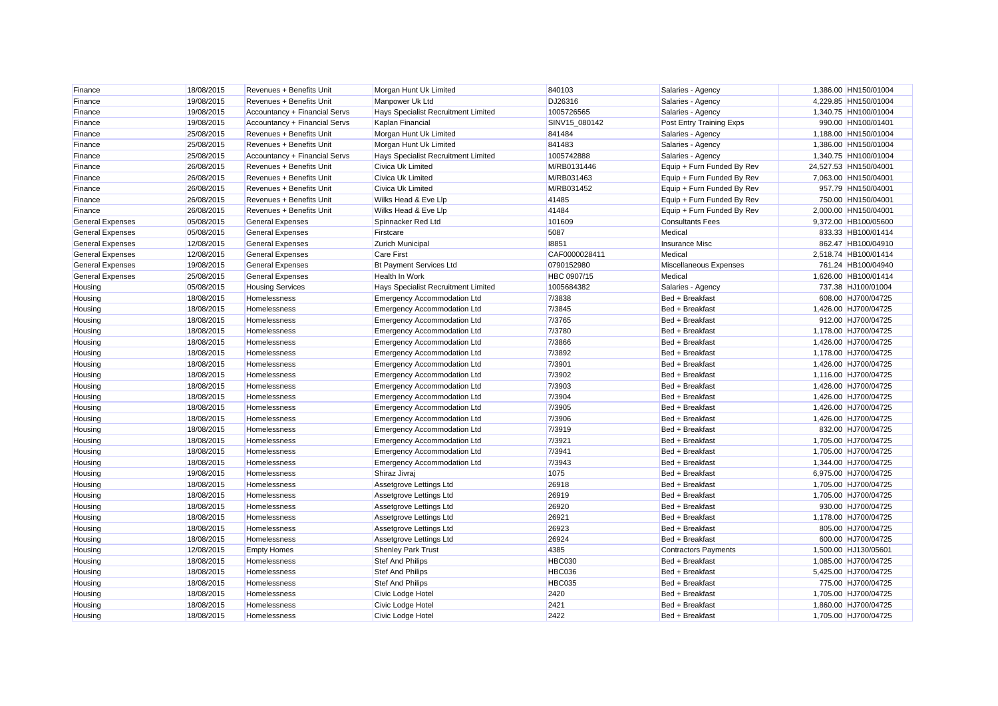| Finance                 | 18/08/2015 | Revenues + Benefits Unit      | Morgan Hunt Uk Limited              | 840103        | Salaries - Agency          | 1,386.00 HN150/01004  |
|-------------------------|------------|-------------------------------|-------------------------------------|---------------|----------------------------|-----------------------|
| Finance                 | 19/08/2015 | Revenues + Benefits Unit      | Manpower Uk Ltd                     | DJ26316       | Salaries - Agency          | 4,229.85 HN150/01004  |
| Finance                 | 19/08/2015 | Accountancy + Financial Servs | Hays Specialist Recruitment Limited | 1005726565    | Salaries - Agency          | 1,340.75 HN100/01004  |
| Finance                 | 19/08/2015 | Accountancy + Financial Servs | Kaplan Financial                    | SINV15_080142 | Post Entry Training Exps   | 990.00 HN100/01401    |
| Finance                 | 25/08/2015 | Revenues + Benefits Unit      | Morgan Hunt Uk Limited              | 841484        | Salaries - Agency          | 1,188.00 HN150/01004  |
| Finance                 | 25/08/2015 | Revenues + Benefits Unit      | Morgan Hunt Uk Limited              | 841483        | Salaries - Agency          | 1,386.00 HN150/01004  |
| Finance                 | 25/08/2015 | Accountancy + Financial Servs | Hays Specialist Recruitment Limited | 1005742888    | Salaries - Agency          | 1,340.75 HN100/01004  |
| Finance                 | 26/08/2015 | Revenues + Benefits Unit      | Civica Uk Limited                   | M/RB0131446   | Equip + Furn Funded By Rev | 24,527.53 HN150/04001 |
| Finance                 | 26/08/2015 | Revenues + Benefits Unit      | Civica Uk Limited                   | M/RB031463    | Equip + Furn Funded By Rev | 7,063.00 HN150/04001  |
| Finance                 | 26/08/2015 | Revenues + Benefits Unit      | Civica Uk Limited                   | M/RB031452    | Equip + Furn Funded By Rev | 957.79 HN150/04001    |
| Finance                 | 26/08/2015 | Revenues + Benefits Unit      | Wilks Head & Eve Llp                | 41485         | Equip + Furn Funded By Rev | 750.00 HN150/04001    |
| Finance                 | 26/08/2015 | Revenues + Benefits Unit      | Wilks Head & Eve Llp                | 41484         | Equip + Furn Funded By Rev | 2,000.00 HN150/04001  |
| <b>General Expenses</b> | 05/08/2015 | <b>General Expenses</b>       | Spinnacker Red Ltd                  | 101609        | <b>Consultants Fees</b>    | 9,372.00 HB100/05600  |
| <b>General Expenses</b> | 05/08/2015 | <b>General Expenses</b>       | Firstcare                           | 5087          | Medical                    | 833.33 HB100/01414    |
| <b>General Expenses</b> | 12/08/2015 | <b>General Expenses</b>       | <b>Zurich Municipal</b>             | 18851         | Insurance Misc             | 862.47 HB100/04910    |
| <b>General Expenses</b> | 12/08/2015 | <b>General Expenses</b>       | <b>Care First</b>                   | CAF0000028411 | Medical                    | 2,518.74 HB100/01414  |
| <b>General Expenses</b> | 19/08/2015 | <b>General Expenses</b>       | <b>Bt Payment Services Ltd</b>      | 0790152980    | Miscellaneous Expenses     | 761.24 HB100/04940    |
| <b>General Expenses</b> | 25/08/2015 | <b>General Expenses</b>       | <b>Health In Work</b>               | HBC 0907/15   | Medical                    | 1.626.00 HB100/01414  |
| Housing                 | 05/08/2015 | <b>Housing Services</b>       | Hays Specialist Recruitment Limited | 1005684382    | Salaries - Agency          | 737.38 HJ100/01004    |
| Housing                 | 18/08/2015 | Homelessness                  | <b>Emergency Accommodation Ltd</b>  | 7/3838        | Bed + Breakfast            | 608.00 HJ700/04725    |
| Housing                 | 18/08/2015 | Homelessness                  | <b>Emergency Accommodation Ltd</b>  | 7/3845        | Bed + Breakfast            | 1,426.00 HJ700/04725  |
| Housing                 | 18/08/2015 | Homelessness                  | <b>Emergency Accommodation Ltd</b>  | 7/3765        | Bed + Breakfast            | 912.00 HJ700/04725    |
| Housing                 | 18/08/2015 | Homelessness                  | Emergency Accommodation Ltd         | 7/3780        | Bed + Breakfast            | 1,178.00 HJ700/04725  |
| Housing                 | 18/08/2015 | Homelessness                  | <b>Emergency Accommodation Ltd</b>  | 7/3866        | Bed + Breakfast            | 1,426.00 HJ700/04725  |
| Housing                 | 18/08/2015 | Homelessness                  | <b>Emergency Accommodation Ltd</b>  | 7/3892        | Bed + Breakfast            | 1,178.00 HJ700/04725  |
| Housing                 | 18/08/2015 | Homelessness                  | <b>Emergency Accommodation Ltd</b>  | 7/3901        | Bed + Breakfast            | 1,426.00 HJ700/04725  |
| Housing                 | 18/08/2015 | Homelessness                  | <b>Emergency Accommodation Ltd</b>  | 7/3902        | Bed + Breakfast            | 1,116.00 HJ700/04725  |
| Housing                 | 18/08/2015 | Homelessness                  | <b>Emergency Accommodation Ltd</b>  | 7/3903        | Bed + Breakfast            | 1,426.00 HJ700/04725  |
| Housing                 | 18/08/2015 | Homelessness                  | <b>Emergency Accommodation Ltd</b>  | 7/3904        | Bed + Breakfast            | 1,426.00 HJ700/04725  |
| Housing                 | 18/08/2015 | Homelessness                  | <b>Emergency Accommodation Ltd</b>  | 7/3905        | Bed + Breakfast            | 1,426.00 HJ700/04725  |
| Housing                 | 18/08/2015 | Homelessness                  | <b>Emergency Accommodation Ltd</b>  | 7/3906        | Bed + Breakfast            | 1,426.00 HJ700/04725  |
| Housing                 | 18/08/2015 | Homelessness                  | <b>Emergency Accommodation Ltd</b>  | 7/3919        | Bed + Breakfast            | 832.00 HJ700/04725    |
| Housing                 | 18/08/2015 | Homelessness                  | <b>Emergency Accommodation Ltd</b>  | 7/3921        | Bed + Breakfast            | 1,705.00 HJ700/04725  |
| Housing                 | 18/08/2015 | Homelessness                  | <b>Emergency Accommodation Ltd</b>  | 7/3941        | Bed + Breakfast            | 1,705.00 HJ700/04725  |
| Housing                 | 18/08/2015 | Homelessness                  | <b>Emergency Accommodation Ltd</b>  | 7/3943        | Bed + Breakfast            | 1,344.00 HJ700/04725  |
| Housing                 | 19/08/2015 | Homelessness                  | Shiraz Jivraj                       | 1075          | Bed + Breakfast            | 6,975.00 HJ700/04725  |
| Housing                 | 18/08/2015 | Homelessness                  | Assetgrove Lettings Ltd             | 26918         | Bed + Breakfast            | 1,705.00 HJ700/04725  |
| Housing                 | 18/08/2015 | Homelessness                  | Assetgrove Lettings Ltd             | 26919         | Bed + Breakfast            | 1,705.00 HJ700/04725  |
| Housing                 | 18/08/2015 | Homelessness                  | Assetgrove Lettings Ltd             | 26920         | Bed + Breakfast            | 930.00 HJ700/04725    |
| Housing                 | 18/08/2015 | Homelessness                  | Assetgrove Lettings Ltd             | 26921         | Bed + Breakfast            | 1,178.00 HJ700/04725  |
| Housing                 | 18/08/2015 | Homelessness                  | Assetgrove Lettings Ltd             | 26923         | Bed + Breakfast            | 805.00 HJ700/04725    |
| Housing                 | 18/08/2015 | Homelessness                  | Assetgrove Lettings Ltd             | 26924         | Bed + Breakfast            | 600.00 HJ700/04725    |
| Housing                 | 12/08/2015 | <b>Empty Homes</b>            | <b>Shenley Park Trust</b>           | 4385          | Contractors Payments       | 1,500.00 HJ130/05601  |
| Housing                 | 18/08/2015 | Homelessness                  | Stef And Philips                    | <b>HBC030</b> | Bed + Breakfast            | 1,085.00 HJ700/04725  |
| Housing                 | 18/08/2015 | Homelessness                  | <b>Stef And Philips</b>             | HBC036        | Bed + Breakfast            | 5,425.00 HJ700/04725  |
| Housing                 | 18/08/2015 | Homelessness                  | Stef And Philips                    | <b>HBC035</b> | Bed + Breakfast            | 775.00 HJ700/04725    |
| Housing                 | 18/08/2015 | Homelessness                  | Civic Lodge Hotel                   | 2420          | Bed + Breakfast            | 1,705.00 HJ700/04725  |
| Housing                 | 18/08/2015 | Homelessness                  | Civic Lodge Hotel                   | 2421          | Bed + Breakfast            | 1,860.00 HJ700/04725  |
| Housing                 | 18/08/2015 | Homelessness                  | Civic Lodge Hotel                   | 2422          | Bed + Breakfast            | 1.705.00 HJ700/04725  |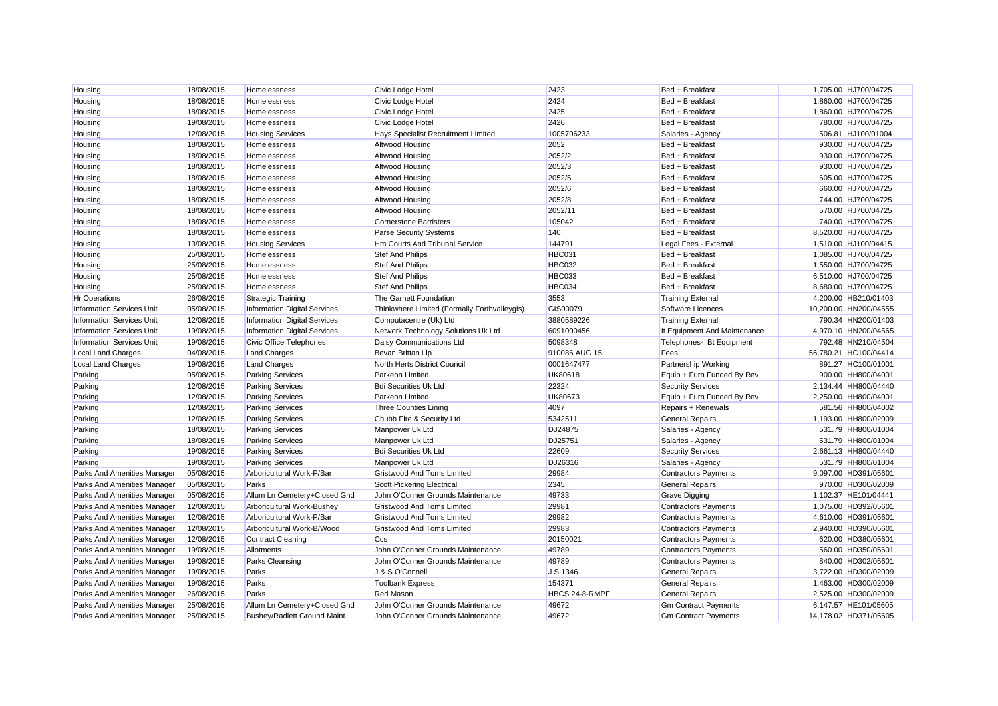| Housing                            | 18/08/2015 | Homelessness                        | Civic Lodge Hotel                            | 2423           | Bed + Breakfast              | 1,705.00 HJ700/04725  |
|------------------------------------|------------|-------------------------------------|----------------------------------------------|----------------|------------------------------|-----------------------|
| Housing                            | 18/08/2015 | Homelessness                        | Civic Lodge Hotel                            | 2424           | Bed + Breakfast              | 1,860.00 HJ700/04725  |
| Housing                            | 18/08/2015 | Homelessness                        | Civic Lodge Hotel                            | 2425           | Bed + Breakfast              | 1,860.00 HJ700/04725  |
| Housing                            | 19/08/2015 | Homelessness                        | Civic Lodge Hotel                            | 2426           | Bed + Breakfast              | 780.00 HJ700/04725    |
| Housing                            | 12/08/2015 | <b>Housing Services</b>             | Hays Specialist Recruitment Limited          | 1005706233     | Salaries - Agency            | 506.81 HJ100/01004    |
| Housing                            | 18/08/2015 | Homelessness                        | Altwood Housing                              | 2052           | Bed + Breakfast              | 930.00 HJ700/04725    |
| Housing                            | 18/08/2015 | Homelessness                        | Altwood Housing                              | 2052/2         | Bed + Breakfast              | 930.00 HJ700/04725    |
| Housing                            | 18/08/2015 | Homelessness                        | <b>Altwood Housing</b>                       | 2052/3         | Bed + Breakfast              | 930.00 HJ700/04725    |
| Housing                            | 18/08/2015 | Homelessness                        | Altwood Housing                              | 2052/5         | Bed + Breakfast              | 605.00 HJ700/04725    |
| Housing                            | 18/08/2015 | Homelessness                        | Altwood Housing                              | 2052/6         | Bed + Breakfast              | 660.00 HJ700/04725    |
| Housing                            | 18/08/2015 | Homelessness                        | <b>Altwood Housing</b>                       | 2052/8         | Bed + Breakfast              | 744.00 HJ700/04725    |
| Housing                            | 18/08/2015 | Homelessness                        | Altwood Housing                              | 2052/11        | Bed + Breakfast              | 570.00 HJ700/04725    |
| Housing                            | 18/08/2015 | Homelessness                        | <b>Cornerstone Barristers</b>                | 105042         | Bed + Breakfast              | 740.00 HJ700/04725    |
| Housing                            | 18/08/2015 | Homelessness                        | <b>Parse Security Systems</b>                | 140            | Bed + Breakfast              | 8,520.00 HJ700/04725  |
| Housing                            | 13/08/2015 | <b>Housing Services</b>             | <b>Hm Courts And Tribunal Service</b>        | 144791         | Legal Fees - External        | 1,510.00 HJ100/04415  |
| Housing                            | 25/08/2015 | Homelessness                        | <b>Stef And Philips</b>                      | HBC031         | Bed + Breakfast              | 1,085.00 HJ700/04725  |
| Housing                            | 25/08/2015 | Homelessness                        | <b>Stef And Philips</b>                      | <b>HBC032</b>  | Bed + Breakfast              | 1,550.00 HJ700/04725  |
| Housing                            | 25/08/2015 | Homelessness                        | <b>Stef And Philips</b>                      | <b>HBC033</b>  | Bed + Breakfast              | 6,510.00 HJ700/04725  |
| Housing                            | 25/08/2015 | Homelessness                        | <b>Stef And Philips</b>                      | HBC034         | Bed + Breakfast              | 8,680.00 HJ700/04725  |
| <b>Hr Operations</b>               | 26/08/2015 | <b>Strategic Training</b>           | The Garnett Foundation                       | 3553           | <b>Training External</b>     | 4,200.00 HB210/01403  |
| <b>Information Services Unit</b>   | 05/08/2015 | <b>Information Digital Services</b> | Thinkwhere Limited (Formally Forthvalleygis) | GIS00079       | Software Licences            | 10,200.00 HN200/04555 |
| <b>Information Services Unit</b>   | 12/08/2015 | <b>Information Digital Services</b> | Computacentre (Uk) Ltd                       | 3880589226     | <b>Training External</b>     | 790.34 HN200/01403    |
| <b>Information Services Unit</b>   | 19/08/2015 | <b>Information Digital Services</b> | Network Technology Solutions Uk Ltd          | 6091000456     | It Equipment And Maintenance | 4,970.10 HN200/04565  |
| <b>Information Services Unit</b>   | 19/08/2015 | Civic Office Telephones             | Daisy Communications Ltd                     | 5098348        | Telephones- Bt Equipment     | 792.48 HN210/04504    |
| <b>Local Land Charges</b>          | 04/08/2015 | <b>Land Charges</b>                 | Bevan Brittan Llp                            | 910086 AUG 15  | Fees                         | 56,780.21 HC100/04414 |
| Local Land Charges                 | 19/08/2015 | <b>Land Charges</b>                 | North Herts District Council                 | 0001647477     | Partnership Working          | 891.27 HC100/01001    |
| Parking                            | 05/08/2015 | <b>Parking Services</b>             | <b>Parkeon Limited</b>                       | <b>UK80618</b> | Equip + Furn Funded By Rev   | 900.00 HH800/04001    |
| Parking                            | 12/08/2015 | <b>Parking Services</b>             | <b>Bdi Securities Uk Ltd</b>                 | 22324          | <b>Security Services</b>     | 2,134.44 HH800/04440  |
| Parking                            | 12/08/2015 | <b>Parking Services</b>             | <b>Parkeon Limited</b>                       | <b>UK80673</b> | Equip + Furn Funded By Rev   | 2,250.00 HH800/04001  |
| Parking                            | 12/08/2015 | <b>Parking Services</b>             | <b>Three Counties Lining</b>                 | 4097           | Repairs + Renewals           | 581.56 HH800/04002    |
| Parking                            | 12/08/2015 | <b>Parking Services</b>             | Chubb Fire & Security Ltd                    | 5342511        | <b>General Repairs</b>       | 1,193.00 HH800/02009  |
| Parking                            | 18/08/2015 | <b>Parking Services</b>             | Manpower Uk Ltd                              | DJ24875        | Salaries - Agency            | 531.79 HH800/01004    |
| Parking                            | 18/08/2015 | <b>Parking Services</b>             | Manpower Uk Ltd                              | DJ25751        | Salaries - Agency            | 531.79 HH800/01004    |
| Parking                            | 19/08/2015 | <b>Parking Services</b>             | <b>Bdi Securities Uk Ltd</b>                 | 22609          | <b>Security Services</b>     | 2,661.13 HH800/04440  |
| Parking                            | 19/08/2015 | <b>Parking Services</b>             | Manpower Uk Ltd                              | DJ26316        | Salaries - Agency            | 531.79 HH800/01004    |
| Parks And Amenities Manager        | 05/08/2015 | Arboricultural Work-P/Bar           | Gristwood And Toms Limited                   | 29984          | <b>Contractors Payments</b>  | 9,097.00 HD391/05601  |
| Parks And Amenities Manager        | 05/08/2015 | Parks                               | Scott Pickering Electrical                   | 2345           | <b>General Repairs</b>       | 970.00 HD300/02009    |
| Parks And Amenities Manager        | 05/08/2015 | Allum Ln Cemetery+Closed Gnd        | John O'Conner Grounds Maintenance            | 49733          | <b>Grave Digging</b>         | 1,102.37 HE101/04441  |
| Parks And Amenities Manager        | 12/08/2015 | Arboricultural Work-Bushey          | <b>Gristwood And Toms Limited</b>            | 29981          | <b>Contractors Payments</b>  | 1.075.00 HD392/05601  |
| Parks And Amenities Manager        | 12/08/2015 | Arboricultural Work-P/Bar           | <b>Gristwood And Toms Limited</b>            | 29982          | <b>Contractors Payments</b>  | 4,610.00 HD391/05601  |
| Parks And Amenities Manager        | 12/08/2015 | Arboricultural Work-B/Wood          | <b>Gristwood And Toms Limited</b>            | 29983          | <b>Contractors Payments</b>  | 2.940.00 HD390/05601  |
| Parks And Amenities Manager        | 12/08/2015 | <b>Contract Cleaning</b>            | Ccs                                          | 20150021       | <b>Contractors Payments</b>  | 620.00 HD380/05601    |
| <b>Parks And Amenities Manager</b> | 19/08/2015 | Allotments                          | John O'Conner Grounds Maintenance            | 49789          | <b>Contractors Payments</b>  | 560.00 HD350/05601    |
| Parks And Amenities Manager        | 19/08/2015 | <b>Parks Cleansing</b>              | John O'Conner Grounds Maintenance            | 49789          | <b>Contractors Payments</b>  | 840.00 HD302/05601    |
| Parks And Amenities Manager        | 19/08/2015 | Parks                               | J & S O'Connell                              | J S 1346       | <b>General Repairs</b>       | 3.722.00 HD300/02009  |
| <b>Parks And Amenities Manager</b> | 19/08/2015 | Parks                               | <b>Toolbank Express</b>                      | 154371         | <b>General Repairs</b>       | 1,463.00 HD300/02009  |
| <b>Parks And Amenities Manager</b> | 26/08/2015 | Parks                               | <b>Red Mason</b>                             | HBCS 24-8-RMPF | <b>General Repairs</b>       | 2,525.00 HD300/02009  |
| Parks And Amenities Manager        | 25/08/2015 | Allum Ln Cemetery+Closed Gnd        | John O'Conner Grounds Maintenance            | 49672          | <b>Gm Contract Payments</b>  | 6.147.57 HE101/05605  |
| Parks And Amenities Manager        | 25/08/2015 | Bushev/Radlett Ground Maint.        | John O'Conner Grounds Maintenance            | 49672          | <b>Gm Contract Payments</b>  | 14,178.02 HD371/05605 |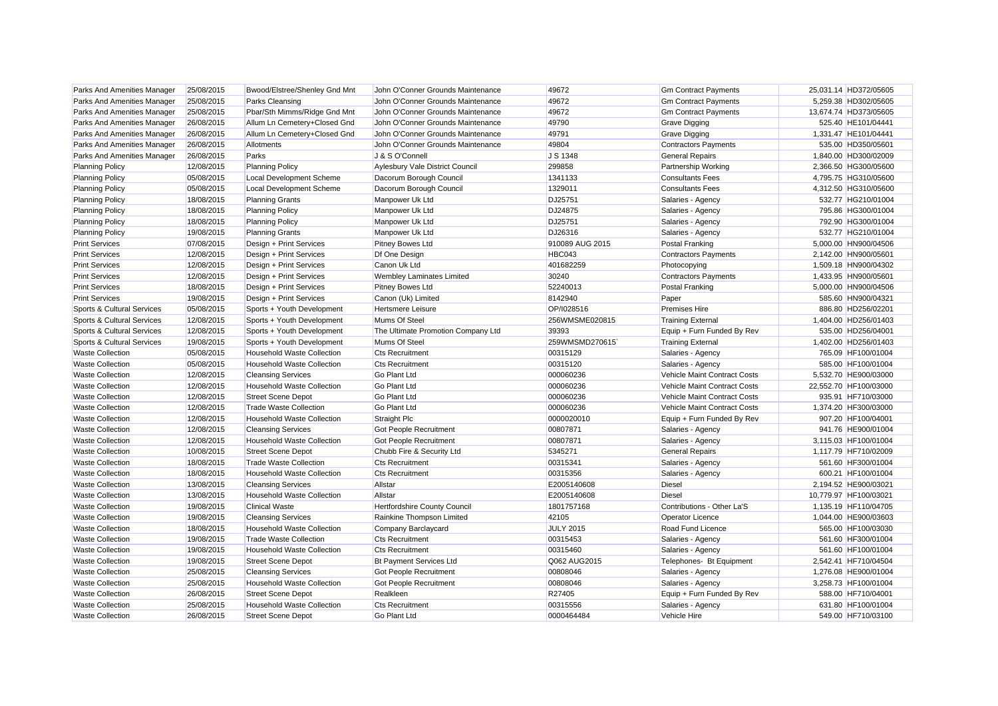| Parks And Amenities Manager | 25/08/2015 | Bwood/Elstree/Shenley Gnd Mnt     | John O'Conner Grounds Maintenance  | 49672            | <b>Gm Contract Payments</b>  | 25,031.14 HD372/05605 |
|-----------------------------|------------|-----------------------------------|------------------------------------|------------------|------------------------------|-----------------------|
| Parks And Amenities Manager | 25/08/2015 | <b>Parks Cleansing</b>            | John O'Conner Grounds Maintenance  | 49672            | <b>Gm Contract Payments</b>  | 5,259.38 HD302/05605  |
| Parks And Amenities Manager | 25/08/2015 | Pbar/Sth Mimms/Ridge Gnd Mnt      | John O'Conner Grounds Maintenance  | 49672            | <b>Gm Contract Payments</b>  | 13,674.74 HD373/05605 |
| Parks And Amenities Manager | 26/08/2015 | Allum Ln Cemetery+Closed Gnd      | John O'Conner Grounds Maintenance  | 49790            | <b>Grave Digging</b>         | 525.40 HE101/04441    |
| Parks And Amenities Manager | 26/08/2015 | Allum Ln Cemetery+Closed Gnd      | John O'Conner Grounds Maintenance  | 49791            | <b>Grave Digging</b>         | 1,331.47 HE101/04441  |
| Parks And Amenities Manager | 26/08/2015 | Allotments                        | John O'Conner Grounds Maintenance  | 49804            | <b>Contractors Payments</b>  | 535.00 HD350/05601    |
| Parks And Amenities Manager | 26/08/2015 | Parks                             | J & S O'Connell                    | J S 1348         | <b>General Repairs</b>       | 1.840.00 HD300/02009  |
| <b>Planning Policy</b>      | 12/08/2015 | <b>Planning Policy</b>            | Aylesbury Vale District Council    | 299858           | <b>Partnership Working</b>   | 2,366.50 HG300/05600  |
| <b>Planning Policy</b>      | 05/08/2015 | <b>Local Development Scheme</b>   | Dacorum Borough Council            | 1341133          | <b>Consultants Fees</b>      | 4,795.75 HG310/05600  |
| <b>Planning Policy</b>      | 05/08/2015 | <b>Local Development Scheme</b>   | Dacorum Borough Council            | 1329011          | <b>Consultants Fees</b>      | 4,312.50 HG310/05600  |
| <b>Planning Policy</b>      | 18/08/2015 | <b>Planning Grants</b>            | Manpower Uk Ltd                    | DJ25751          | Salaries - Agency            | 532.77 HG210/01004    |
| <b>Planning Policy</b>      | 18/08/2015 | <b>Planning Policy</b>            | Manpower Uk Ltd                    | DJ24875          | Salaries - Agency            | 795.86 HG300/01004    |
| <b>Planning Policy</b>      | 18/08/2015 | <b>Planning Policy</b>            | Manpower Uk Ltd                    | DJ25751          | Salaries - Agency            | 792.90 HG300/01004    |
| <b>Planning Policy</b>      | 19/08/2015 | <b>Planning Grants</b>            | Manpower Uk Ltd                    | DJ26316          | Salaries - Agency            | 532.77 HG210/01004    |
| <b>Print Services</b>       | 07/08/2015 | Design + Print Services           | Pitney Bowes Ltd                   | 910089 AUG 2015  | <b>Postal Franking</b>       | 5,000.00 HN900/04506  |
| <b>Print Services</b>       | 12/08/2015 | Design + Print Services           | Df One Design                      | HBC043           | <b>Contractors Payments</b>  | 2,142.00 HN900/05601  |
| <b>Print Services</b>       | 12/08/2015 | Design + Print Services           | Canon Uk Ltd                       | 401682259        | Photocopying                 | 1,509.18 HN900/04302  |
| <b>Print Services</b>       | 12/08/2015 | Design + Print Services           | <b>Wembley Laminates Limited</b>   | 30240            | <b>Contractors Payments</b>  | 1,433.95 HN900/05601  |
| <b>Print Services</b>       | 18/08/2015 | Design + Print Services           | Pitney Bowes Ltd                   | 52240013         | <b>Postal Franking</b>       | 5,000.00 HN900/04506  |
| <b>Print Services</b>       | 19/08/2015 | Design + Print Services           | Canon (Uk) Limited                 | 8142940          | Paper                        | 585.60 HN900/04321    |
| Sports & Cultural Services  | 05/08/2015 | Sports + Youth Development        | Hertsmere Leisure                  | OP/1028516       | <b>Premises Hire</b>         | 886.80 HD256/02201    |
| Sports & Cultural Services  | 12/08/2015 | Sports + Youth Development        | Mums Of Steel                      | 256WMSME020815   | <b>Training External</b>     | 1,404.00 HD256/01403  |
| Sports & Cultural Services  | 12/08/2015 | Sports + Youth Development        | The Ultimate Promotion Company Ltd | 39393            | Equip + Furn Funded By Rev   | 535.00 HD256/04001    |
| Sports & Cultural Services  | 19/08/2015 | Sports + Youth Development        | Mums Of Steel                      | 259WMSMD270615   | <b>Training External</b>     | 1,402.00 HD256/01403  |
| <b>Waste Collection</b>     | 05/08/2015 | <b>Household Waste Collection</b> | <b>Cts Recruitment</b>             | 00315129         | Salaries - Agency            | 765.09 HF100/01004    |
| <b>Waste Collection</b>     | 05/08/2015 | <b>Household Waste Collection</b> | <b>Cts Recruitment</b>             | 00315120         | Salaries - Agency            | 585.00 HF100/01004    |
| <b>Waste Collection</b>     | 12/08/2015 | <b>Cleansing Services</b>         | Go Plant Ltd                       | 000060236        | Vehicle Maint Contract Costs | 5,532.70 HE900/03000  |
| <b>Waste Collection</b>     | 12/08/2015 | <b>Household Waste Collection</b> | Go Plant Ltd                       | 000060236        | Vehicle Maint Contract Costs | 22,552.70 HF100/03000 |
| <b>Waste Collection</b>     | 12/08/2015 | <b>Street Scene Depot</b>         | Go Plant Ltd                       | 000060236        | Vehicle Maint Contract Costs | 935.91 HF710/03000    |
| <b>Waste Collection</b>     | 12/08/2015 | <b>Trade Waste Collection</b>     | Go Plant Ltd                       | 000060236        | Vehicle Maint Contract Costs | 1,374.20 HF300/03000  |
| <b>Waste Collection</b>     | 12/08/2015 | <b>Household Waste Collection</b> | Straight Plc                       | 0000020010       | Equip + Furn Funded By Rev   | 907.20 HF100/04001    |
| <b>Waste Collection</b>     | 12/08/2015 | <b>Cleansing Services</b>         | Got People Recruitment             | 00807871         | Salaries - Agency            | 941.76 HE900/01004    |
| <b>Waste Collection</b>     | 12/08/2015 | <b>Household Waste Collection</b> | Got People Recruitment             | 00807871         | Salaries - Agency            | 3,115.03 HF100/01004  |
| <b>Waste Collection</b>     | 10/08/2015 | <b>Street Scene Depot</b>         | Chubb Fire & Security Ltd          | 5345271          | <b>General Repairs</b>       | 1,117.79 HF710/02009  |
| <b>Waste Collection</b>     | 18/08/2015 | <b>Trade Waste Collection</b>     | <b>Cts Recruitment</b>             | 00315341         | Salaries - Agency            | 561.60 HF300/01004    |
| <b>Waste Collection</b>     | 18/08/2015 | <b>Household Waste Collection</b> | <b>Cts Recruitment</b>             | 00315356         | Salaries - Agency            | 600.21 HF100/01004    |
| <b>Waste Collection</b>     | 13/08/2015 | <b>Cleansing Services</b>         | Allstar                            | E2005140608      | <b>Diesel</b>                | 2,194.52 HE900/03021  |
| <b>Waste Collection</b>     | 13/08/2015 | <b>Household Waste Collection</b> | Allstar                            | E2005140608      | <b>Diesel</b>                | 10,779.97 HF100/03021 |
| <b>Waste Collection</b>     | 19/08/2015 | <b>Clinical Waste</b>             | Hertfordshire County Council       | 1801757168       | Contributions - Other La'S   | 1,135.19 HF110/04705  |
| <b>Waste Collection</b>     | 19/08/2015 | <b>Cleansing Services</b>         | Rainkine Thompson Limited          | 42105            | <b>Operator Licence</b>      | 1,044.00 HE900/03603  |
| <b>Waste Collection</b>     | 18/08/2015 | <b>Household Waste Collection</b> | Company Barclaycard                | <b>JULY 2015</b> | Road Fund Licence            | 565.00 HF100/03030    |
| <b>Waste Collection</b>     | 19/08/2015 | <b>Trade Waste Collection</b>     | <b>Cts Recruitment</b>             | 00315453         | Salaries - Agency            | 561.60 HF300/01004    |
| <b>Waste Collection</b>     | 19/08/2015 | <b>Household Waste Collection</b> | <b>Cts Recruitment</b>             | 00315460         | Salaries - Agency            | 561.60 HF100/01004    |
| <b>Waste Collection</b>     | 19/08/2015 | <b>Street Scene Depot</b>         | <b>Bt Payment Services Ltd</b>     | Q062 AUG2015     | Telephones- Bt Equipment     | 2,542.41 HF710/04504  |
| <b>Waste Collection</b>     | 25/08/2015 | <b>Cleansing Services</b>         | <b>Got People Recruitment</b>      | 00808046         | Salaries - Agency            | 1,276.08 HE900/01004  |
| <b>Waste Collection</b>     | 25/08/2015 | <b>Household Waste Collection</b> | Got People Recruitment             | 00808046         | Salaries - Agency            | 3,258.73 HF100/01004  |
| <b>Waste Collection</b>     | 26/08/2015 | <b>Street Scene Depot</b>         | Realkleen                          | R27405           | Equip + Furn Funded By Rev   | 588.00 HF710/04001    |
| <b>Waste Collection</b>     | 25/08/2015 | <b>Household Waste Collection</b> | <b>Cts Recruitment</b>             | 00315556         | Salaries - Agency            | 631.80 HF100/01004    |
| <b>Waste Collection</b>     | 26/08/2015 | <b>Street Scene Depot</b>         | Go Plant Ltd                       | 0000464484       | Vehicle Hire                 | 549.00 HF710/03100    |